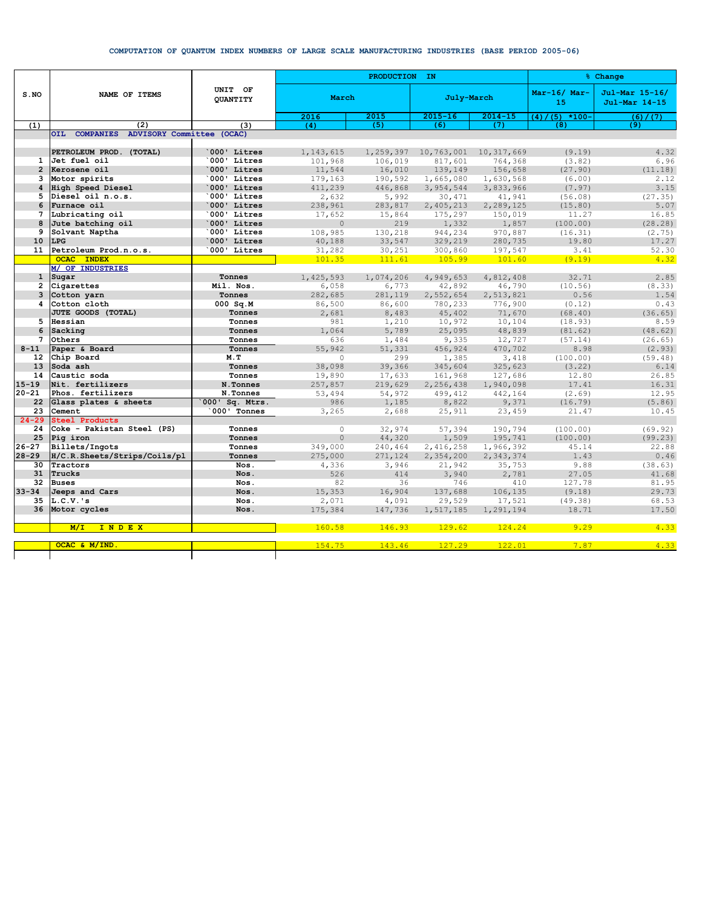## COMPUTATION OF QUANTUM INDEX NUMBERS OF LARGE SCALE MANUFACTURING INDUSTRIES (BASE PERIOD 2005-06)

|                 | NAME OF ITEMS                            | UNIT OF<br><b>OUANTITY</b> |           | PRODUCTION IN | % Change    |             |                      |                                 |
|-----------------|------------------------------------------|----------------------------|-----------|---------------|-------------|-------------|----------------------|---------------------------------|
| $S$ . NO        |                                          |                            | March     |               | July-March  |             | $Mar-16/Mar-$<br>15  | Jul-Mar 15-16/<br>Jul-Mar 14-15 |
|                 |                                          |                            | 2016      | 2015          | $2015 - 16$ | $2014 - 15$ | $(5)$ *100-<br>(4) / | (6) / (7)                       |
| (1)             | (2)                                      | (3)                        | (4)       | (5)           | (6)         | (7)         | (8)                  | (9)                             |
|                 | OIL COMPANIES ADVISORY Committee (OCAC)  |                            |           |               |             |             |                      |                                 |
|                 |                                          |                            |           |               |             |             |                      |                                 |
|                 | PETROLEUM PROD. (TOTAL)                  | 000' Litres                | 1,143,615 | 1,259,397     | 10,763,001  | 10,317,669  | (9.19)               | 4.32                            |
| $\mathbf{1}$    | Jet fuel oil                             | 000' Litres                | 101,968   | 106,019       | 817,601     | 764,368     | (3.82)               | 6.96                            |
| $\overline{2}$  | Kerosene oil                             | 000' Litres                | 11,544    | 16,010        | 139,149     | 156,658     | (27.90)              | (11.18)                         |
| 3               | Motor spirits                            | 000' Litres                | 179,163   | 190,592       | 1,665,080   | 1,630,568   | (6.00)               | 2.12                            |
| 4               | High Speed Diesel                        | 000' Litres                | 411,239   | 446,868       | 3,954,544   | 3,833,966   | (7.97)               | 3.15                            |
| 5               | Diesel oil n.o.s.                        | 000' Litres                | 2,632     | 5,992         | 30,471      | 41,941      | (56.08)              | (27.35)                         |
| 6               | Furnace oil                              | 000' Litres                | 238,961   | 283,817       | 2,405,213   | 2,289,125   | (15.80)              | 5.07                            |
| $\overline{7}$  | Lubricating oil                          | 000' Litres                | 17,652    | 15,864        | 175,297     | 150,019     | 11.27                | 16.85                           |
| 8               | Jute batching oil                        | 000' Litres                | $\circ$   | 219           | 1,332       | 1,857       | (100.00)             | (28.28)                         |
| 9               | Solvant Naptha                           | 000' Litres                | 108,985   | 130,218       | 944,234     | 970,887     | (16.31)              | (2.75)                          |
| 10              | LPG                                      | 000' Litres                | 40,188    | 33,547        | 329,219     | 280,735     | 19.80                | 17.27                           |
| 11              | Petroleum Prod.n.o.s.                    | 000' Litres                | 31,282    | 30,251        | 300,860     | 197,547     | 3.41                 | 52.30                           |
|                 | <b>OCAC INDEX</b>                        |                            | 101.35    | 111.61        | 105.99      | 101.60      | (9.19)               | 4.32                            |
|                 | <b>M/ OF INDUSTRIES</b>                  |                            |           |               |             |             |                      |                                 |
| $\mathbf{1}$    | Sugar                                    | Tonnes                     | 1,425,593 | 1,074,206     | 4,949,653   | 4,812,408   | 32.71                | 2.85                            |
| $\overline{2}$  | Cigarettes                               | Mil. Nos.                  | 6,058     | 6,773         | 42,892      | 46,790      | (10.56)              | (8.33)                          |
| 3               | Cotton yarn                              | Tonnes                     | 282,685   | 281,119       | 2,552,654   | 2,513,821   | 0.56                 | 1.54                            |
| 4               | Cotton cloth                             | $000$ Sq.M                 | 86,500    | 86,600        | 780,233     | 776,900     | (0.12)               | 0.43                            |
|                 | JUTE GOODS (TOTAL)                       | Tonnes                     | 2,681     | 8,483         | 45,402      | 71,670      | (68.40)              | (36.65)                         |
| 5.              | Hessian                                  | Tonnes                     | 981       | 1,210         | 10,972      | 10,104      | (18.93)              | 8.59                            |
| 6               | Sacking                                  | Tonnes                     | 1,064     | 5,789         | 25,095      | 48,839      | (81.62)              | (48.62)                         |
| 7               | Others                                   | Tonnes                     | 636       | 1,484         | 9,335       | 12,727      | (57.14)              | (26.65)                         |
| $8 - 11$        | Paper & Board                            | Tonnes                     | 55,942    | 51,331        | 456,924     | 470,702     | 8.98                 | (2.93)                          |
| 12 <sup>2</sup> | Chip Board                               | M.T                        | $\Omega$  | 299           | 1,385       | 3,418       | (100.00)             | (59.48)                         |
| 13              | Soda ash                                 | Tonnes                     | 38,098    | 39,366        | 345,604     | 325,623     | (3.22)               | 6.14                            |
| 14              | Caustic soda                             | Tonnes                     | 19,890    | 17,633        | 161,968     | 127,686     | 12.80                | 26.85                           |
| $15 - 19$       | Nit. fertilizers                         | N.Tonnes                   | 257,857   | 219,629       | 2,256,438   | 1,940,098   | 17.41                | 16.31                           |
| $20 - 21$       | Phos. fertilizers                        | N.Tonnes                   | 53,494    | 54,972        | 499,412     | 442,164     | (2.69)               | 12.95                           |
| 22              | Glass plates & sheets                    | 000' Sq. Mtrs.             | 986       | 1,185         | 8,822       | 9,371       | (16.79)              | (5.86)                          |
| 23              | Cement                                   | 000' Tonnes                | 3,265     | 2,688         | 25,911      | 23,459      | 21.47                | 10.45                           |
| $24 - 29$       | <b>Steel Products</b>                    |                            |           |               |             |             |                      |                                 |
| 24              | Coke - Pakistan Steel (PS)               | Tonnes                     | $\Omega$  | 32,974        | 57,394      | 190,794     | (100.00)             | (69.92)                         |
| 25              | Pig iron                                 | Tonnes                     | $\circ$   | 44,320        | 1,509       | 195,741     | (100.00)             | (99.23)                         |
| $26 - 27$       | Billets/Ingots                           | Tonnes                     | 349,000   | 240,464       | 2,416,258   | 1,966,392   | 45.14                | 22.88                           |
| $28 - 29$<br>30 | H/C.R.Sheets/Strips/Coils/pl<br>Tractors | Tonnes<br>Nos.             | 275,000   | 271,124       | 2,354,200   | 2,343,374   | 1.43                 | 0.46                            |
| 31              | Trucks                                   | Nos.                       | 4,336     | 3,946         | 21,942      | 35,753      | 9.88<br>27.05        | (38.63)<br>41.68                |
|                 |                                          |                            | 526       | 414           | 3,940       | 2,781       |                      |                                 |
| 32<br>$33 - 34$ | <b>Buses</b><br>Jeeps and Cars           | Nos.<br>Nos.               | 82        | 36            | 746         | 410         | 127.78<br>(9.18)     | 81.95<br>29.73                  |
| 35              | $L.C.V.$ 's                              | Nos.                       | 15,353    | 16,904        | 137,688     | 106,135     |                      |                                 |
| 36              | Motor cycles                             | Nos.                       | 2,071     | 4,091         | 29,529      | 17,521      | (49.38)<br>18.71     | 68.53<br>17.50                  |
|                 |                                          |                            | 175,384   | 147,736       | 1,517,185   | 1,291,194   |                      |                                 |
|                 | <b>INDEX</b><br>M/L                      |                            | 160.58    | 146.93        | 129.62      | 124.24      | 9.29                 | 4.33                            |
|                 |                                          |                            |           |               |             |             |                      |                                 |
|                 | OCAC & M/IND                             |                            | 154.75    | 143.46        | 127.29      | 122.01      | 7.87                 | 4.33                            |
|                 |                                          |                            |           |               |             |             |                      |                                 |